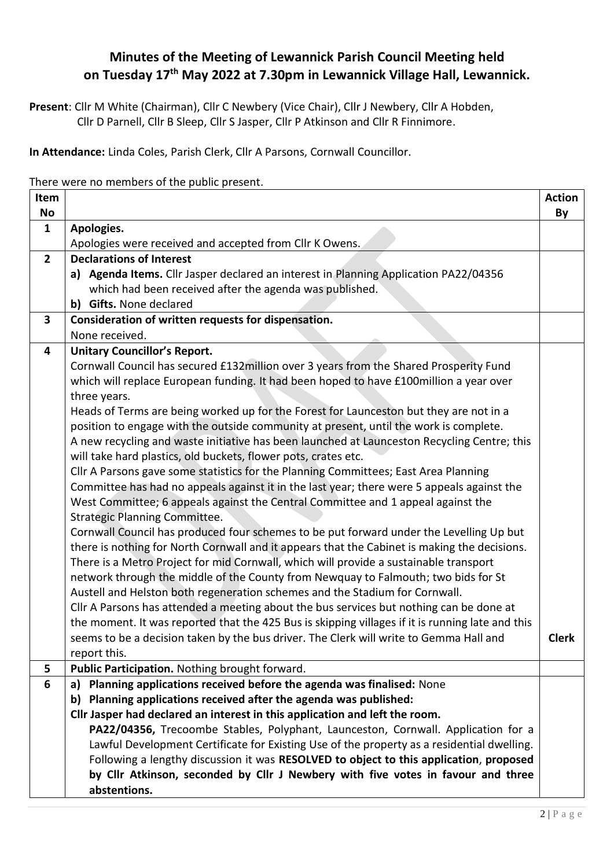## **Minutes of the Meeting of Lewannick Parish Council Meeting held on Tuesday 17th May 2022 at 7.30pm in Lewannick Village Hall, Lewannick.**

**Present**: Cllr M White (Chairman), Cllr C Newbery (Vice Chair), Cllr J Newbery, Cllr A Hobden, Cllr D Parnell, Cllr B Sleep, Cllr S Jasper, Cllr P Atkinson and Cllr R Finnimore.

**In Attendance:** Linda Coles, Parish Clerk, Cllr A Parsons, Cornwall Councillor.

There were no members of the public present.

| Item           |                                                                                                  | <b>Action</b> |
|----------------|--------------------------------------------------------------------------------------------------|---------------|
| No             |                                                                                                  | By            |
| $\mathbf{1}$   | Apologies.                                                                                       |               |
|                | Apologies were received and accepted from Cllr K Owens.                                          |               |
| $\overline{2}$ | <b>Declarations of Interest</b>                                                                  |               |
|                | a) Agenda Items. Cllr Jasper declared an interest in Planning Application PA22/04356             |               |
|                | which had been received after the agenda was published.                                          |               |
|                | b) Gifts. None declared                                                                          |               |
| 3              | Consideration of written requests for dispensation.                                              |               |
|                | None received.                                                                                   |               |
| 4              | <b>Unitary Councillor's Report.</b>                                                              |               |
|                | Cornwall Council has secured £132million over 3 years from the Shared Prosperity Fund            |               |
|                | which will replace European funding. It had been hoped to have £100million a year over           |               |
|                | three years.                                                                                     |               |
|                | Heads of Terms are being worked up for the Forest for Launceston but they are not in a           |               |
|                | position to engage with the outside community at present, until the work is complete.            |               |
|                | A new recycling and waste initiative has been launched at Launceston Recycling Centre; this      |               |
|                | will take hard plastics, old buckets, flower pots, crates etc.                                   |               |
|                | Cllr A Parsons gave some statistics for the Planning Committees; East Area Planning              |               |
|                | Committee has had no appeals against it in the last year; there were 5 appeals against the       |               |
|                | West Committee; 6 appeals against the Central Committee and 1 appeal against the                 |               |
|                | <b>Strategic Planning Committee.</b>                                                             |               |
|                | Cornwall Council has produced four schemes to be put forward under the Levelling Up but          |               |
|                | there is nothing for North Cornwall and it appears that the Cabinet is making the decisions.     |               |
|                | There is a Metro Project for mid Cornwall, which will provide a sustainable transport            |               |
|                | network through the middle of the County from Newquay to Falmouth; two bids for St               |               |
|                | Austell and Helston both regeneration schemes and the Stadium for Cornwall.                      |               |
|                | Cllr A Parsons has attended a meeting about the bus services but nothing can be done at          |               |
|                | the moment. It was reported that the 425 Bus is skipping villages if it is running late and this |               |
|                | seems to be a decision taken by the bus driver. The Clerk will write to Gemma Hall and           | <b>Clerk</b>  |
|                | report this.                                                                                     |               |
| 5              | Public Participation. Nothing brought forward.                                                   |               |
| 6              | a) Planning applications received before the agenda was finalised: None                          |               |
|                | b) Planning applications received after the agenda was published:                                |               |
|                | Cllr Jasper had declared an interest in this application and left the room.                      |               |
|                | PA22/04356, Trecoombe Stables, Polyphant, Launceston, Cornwall. Application for a                |               |
|                | Lawful Development Certificate for Existing Use of the property as a residential dwelling.       |               |
|                | Following a lengthy discussion it was RESOLVED to object to this application, proposed           |               |
|                | by Cllr Atkinson, seconded by Cllr J Newbery with five votes in favour and three                 |               |
|                | abstentions.                                                                                     |               |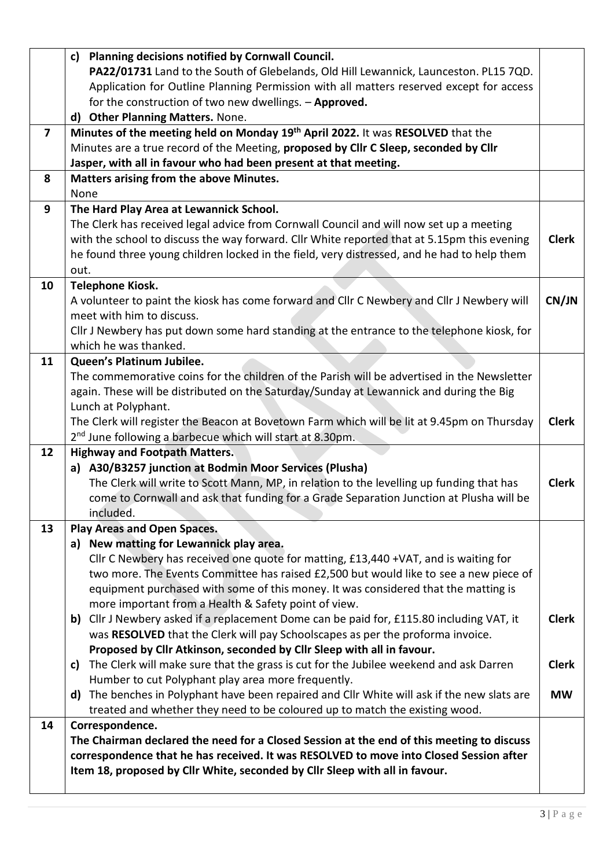|                         | c) Planning decisions notified by Cornwall Council.<br>PA22/01731 Land to the South of Glebelands, Old Hill Lewannick, Launceston. PL15 7QD.                                                                                                                       |              |
|-------------------------|--------------------------------------------------------------------------------------------------------------------------------------------------------------------------------------------------------------------------------------------------------------------|--------------|
|                         | Application for Outline Planning Permission with all matters reserved except for access<br>for the construction of two new dwellings. - Approved.                                                                                                                  |              |
|                         | d) Other Planning Matters. None.                                                                                                                                                                                                                                   |              |
| $\overline{\mathbf{z}}$ | Minutes of the meeting held on Monday 19th April 2022. It was RESOLVED that the                                                                                                                                                                                    |              |
|                         | Minutes are a true record of the Meeting, proposed by Cllr C Sleep, seconded by Cllr                                                                                                                                                                               |              |
|                         | Jasper, with all in favour who had been present at that meeting.                                                                                                                                                                                                   |              |
| 8                       | Matters arising from the above Minutes.<br>None                                                                                                                                                                                                                    |              |
| 9                       | The Hard Play Area at Lewannick School.                                                                                                                                                                                                                            |              |
|                         | The Clerk has received legal advice from Cornwall Council and will now set up a meeting                                                                                                                                                                            |              |
|                         | with the school to discuss the way forward. Cllr White reported that at 5.15pm this evening                                                                                                                                                                        | <b>Clerk</b> |
|                         | he found three young children locked in the field, very distressed, and he had to help them                                                                                                                                                                        |              |
|                         | out.                                                                                                                                                                                                                                                               |              |
| 10                      | <b>Telephone Kiosk.</b>                                                                                                                                                                                                                                            |              |
|                         | A volunteer to paint the kiosk has come forward and Cllr C Newbery and Cllr J Newbery will                                                                                                                                                                         | CN/JN        |
|                         | meet with him to discuss.                                                                                                                                                                                                                                          |              |
|                         | Cllr J Newbery has put down some hard standing at the entrance to the telephone kiosk, for                                                                                                                                                                         |              |
|                         | which he was thanked.                                                                                                                                                                                                                                              |              |
| 11                      | Queen's Platinum Jubilee.                                                                                                                                                                                                                                          |              |
|                         | The commemorative coins for the children of the Parish will be advertised in the Newsletter                                                                                                                                                                        |              |
|                         | again. These will be distributed on the Saturday/Sunday at Lewannick and during the Big                                                                                                                                                                            |              |
|                         | Lunch at Polyphant.                                                                                                                                                                                                                                                |              |
|                         | The Clerk will register the Beacon at Bovetown Farm which will be lit at 9.45pm on Thursday                                                                                                                                                                        | <b>Clerk</b> |
|                         | 2 <sup>nd</sup> June following a barbecue which will start at 8.30pm.                                                                                                                                                                                              |              |
| 12                      | <b>Highway and Footpath Matters.</b>                                                                                                                                                                                                                               |              |
|                         | a) A30/B3257 junction at Bodmin Moor Services (Plusha)                                                                                                                                                                                                             |              |
|                         | The Clerk will write to Scott Mann, MP, in relation to the levelling up funding that has                                                                                                                                                                           | <b>Clerk</b> |
|                         | come to Cornwall and ask that funding for a Grade Separation Junction at Plusha will be                                                                                                                                                                            |              |
|                         | included.                                                                                                                                                                                                                                                          |              |
| 13                      | Play Areas and Open Spaces.                                                                                                                                                                                                                                        |              |
|                         | a) New matting for Lewannick play area.                                                                                                                                                                                                                            |              |
|                         | Cllr C Newbery has received one quote for matting, £13,440 +VAT, and is waiting for                                                                                                                                                                                |              |
|                         | two more. The Events Committee has raised £2,500 but would like to see a new piece of                                                                                                                                                                              |              |
|                         | equipment purchased with some of this money. It was considered that the matting is                                                                                                                                                                                 |              |
|                         | more important from a Health & Safety point of view.                                                                                                                                                                                                               |              |
|                         | b) Cllr J Newbery asked if a replacement Dome can be paid for, £115.80 including VAT, it                                                                                                                                                                           | <b>Clerk</b> |
|                         | was RESOLVED that the Clerk will pay Schoolscapes as per the proforma invoice.                                                                                                                                                                                     |              |
|                         | Proposed by Cllr Atkinson, seconded by Cllr Sleep with all in favour.                                                                                                                                                                                              |              |
|                         | The Clerk will make sure that the grass is cut for the Jubilee weekend and ask Darren<br>c)                                                                                                                                                                        | <b>Clerk</b> |
|                         | Humber to cut Polyphant play area more frequently.                                                                                                                                                                                                                 |              |
|                         | d) The benches in Polyphant have been repaired and Cllr White will ask if the new slats are                                                                                                                                                                        | <b>MW</b>    |
|                         | treated and whether they need to be coloured up to match the existing wood.                                                                                                                                                                                        |              |
| 14                      | Correspondence.                                                                                                                                                                                                                                                    |              |
|                         | The Chairman declared the need for a Closed Session at the end of this meeting to discuss<br>correspondence that he has received. It was RESOLVED to move into Closed Session after<br>Item 18, proposed by Cllr White, seconded by Cllr Sleep with all in favour. |              |